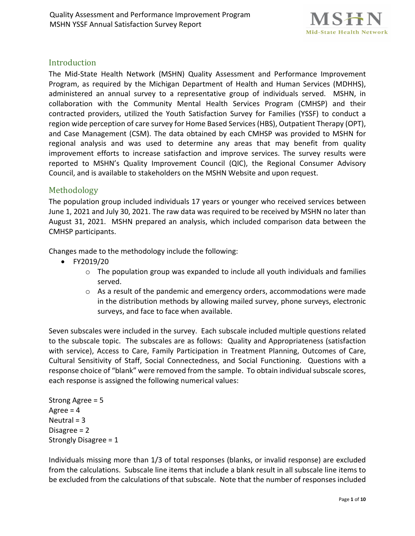

## Introduction

The Mid-State Health Network (MSHN) Quality Assessment and Performance Improvement Program, as required by the Michigan Department of Health and Human Services (MDHHS), administered an annual survey to a representative group of individuals served. MSHN, in collaboration with the Community Mental Health Services Program (CMHSP) and their contracted providers, utilized the Youth Satisfaction Survey for Families (YSSF) to conduct a region wide perception of care survey for Home Based Services (HBS), Outpatient Therapy (OPT), and Case Management (CSM). The data obtained by each CMHSP was provided to MSHN for regional analysis and was used to determine any areas that may benefit from quality improvement efforts to increase satisfaction and improve services. The survey results were reported to MSHN's Quality Improvement Council (QIC), the Regional Consumer Advisory Council, and is available to stakeholders on the MSHN Website and upon request.

### Methodology

The population group included individuals 17 years or younger who received services between June 1, 2021 and July 30, 2021. The raw data was required to be received by MSHN no later than August 31, 2021. MSHN prepared an analysis, which included comparison data between the CMHSP participants.

Changes made to the methodology include the following:

- FY2019/20
	- o The population group was expanded to include all youth individuals and families served.
	- $\circ$  As a result of the pandemic and emergency orders, accommodations were made in the distribution methods by allowing mailed survey, phone surveys, electronic surveys, and face to face when available.

Seven subscales were included in the survey. Each subscale included multiple questions related to the subscale topic. The subscales are as follows: Quality and Appropriateness (satisfaction with service), Access to Care, Family Participation in Treatment Planning, Outcomes of Care, Cultural Sensitivity of Staff, Social Connectedness, and Social Functioning. Questions with a response choice of "blank" were removed from the sample. To obtain individual subscale scores, each response is assigned the following numerical values:

Strong Agree = 5 Agree  $= 4$ Neutral = 3 Disagree = 2 Strongly Disagree = 1

Individuals missing more than 1/3 of total responses (blanks, or invalid response) are excluded from the calculations. Subscale line items that include a blank result in all subscale line items to be excluded from the calculations of that subscale. Note that the number of responses included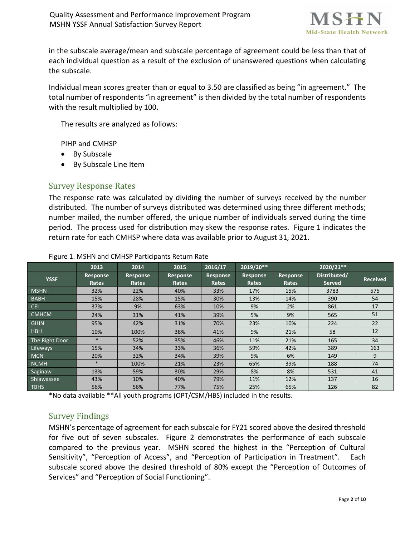

in the subscale average/mean and subscale percentage of agreement could be less than that of each individual question as a result of the exclusion of unanswered questions when calculating the subscale.

Individual mean scores greater than or equal to 3.50 are classified as being "in agreement." The total number of respondents "in agreement" is then divided by the total number of respondents with the result multiplied by 100.

The results are analyzed as follows:

PIHP and CMHSP

- By Subscale
- By Subscale Line Item

### Survey Response Rates

The response rate was calculated by dividing the number of surveys received by the number distributed. The number of surveys distributed was determined using three different methods; number mailed, the number offered, the unique number of individuals served during the time period. The process used for distribution may skew the response rates. Figure 1 indicates the return rate for each CMHSP where data was available prior to August 31, 2021.

|                | 2013                     | 2014                     | 2015                     | 2016/17                  | 2019/20**         |                   | 2020/21**                     |                 |
|----------------|--------------------------|--------------------------|--------------------------|--------------------------|-------------------|-------------------|-------------------------------|-----------------|
| <b>YSSF</b>    | <b>Response</b><br>Rates | <b>Response</b><br>Rates | <b>Response</b><br>Rates | <b>Response</b><br>Rates | Response<br>Rates | Response<br>Rates | Distributed/<br><b>Served</b> | <b>Received</b> |
| <b>MSHN</b>    | 32%                      | 22%                      | 40%                      | 33%                      | 17%               | 15%               | 3783                          | 575             |
| <b>BABH</b>    | 15%                      | 28%                      | 15%                      | 30%                      | 13%               | 14%               | 390                           | 54              |
| <b>CEI</b>     | 37%                      | 9%                       | 63%                      | 10%                      | 9%                | 2%                | 861                           | 17              |
| <b>CMHCM</b>   | 24%                      | 31%                      | 41%                      | 39%                      | 5%                | 9%                | 565                           | 51              |
| <b>GIHN</b>    | 95%                      | 42%                      | 31%                      | 70%                      | 23%               | 10%               | 224                           | 22              |
| <b>HBH</b>     | 10%                      | 100%                     | 38%                      | 41%                      | 9%                | 21%               | 58                            | 12              |
| The Right Door | $\ast$                   | 52%                      | 35%                      | 46%                      | 11%               | 21%               | 165                           | 34              |
| Lifeways       | 15%                      | 34%                      | 33%                      | 36%                      | 59%               | 42%               | 389                           | 163             |
| <b>MCN</b>     | 20%                      | 32%                      | 34%                      | 39%                      | 9%                | 6%                | 149                           | 9               |
| <b>NCMH</b>    | $\ast$                   | 100%                     | 21%                      | 23%                      | 65%               | 39%               | 188                           | 74              |
| Saginaw        | 13%                      | 59%                      | 30%                      | 29%                      | 8%                | 8%                | 531                           | 41              |
| Shiawassee     | 43%                      | 10%                      | 40%                      | 79%                      | 11%               | 12%               | 137                           | 16              |
| <b>TBHS</b>    | 56%                      | 56%                      | 77%                      | 75%                      | 25%               | 65%               | 126                           | 82              |

#### Figure 1. MSHN and CMHSP Participants Return Rate

\*No data available \*\*All youth programs (OPT/CSM/HBS) included in the results.

### Survey Findings

MSHN's percentage of agreement for each subscale for FY21 scored above the desired threshold for five out of seven subscales. Figure 2 demonstrates the performance of each subscale compared to the previous year. MSHN scored the highest in the "Perception of Cultural Sensitivity", "Perception of Access", and "Perception of Participation in Treatment". Each subscale scored above the desired threshold of 80% except the "Perception of Outcomes of Services" and "Perception of Social Functioning".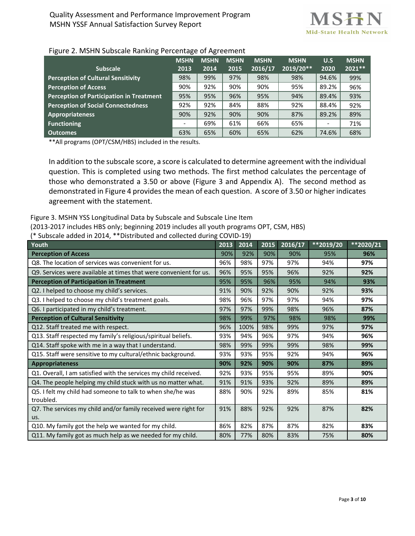

| ີ                                         | ີ           | ີ    | ີ                   |                     |                        |                          |             |                         |
|-------------------------------------------|-------------|------|---------------------|---------------------|------------------------|--------------------------|-------------|-------------------------|
| <b>Subscale</b>                           | <b>MSHN</b> | 2013 | <b>MSHN</b><br>2014 | <b>MSHN</b><br>2015 | <b>MSHN</b><br>2016/17 | <b>MSHN</b><br>2019/20** | U.S<br>2020 | <b>MSHN</b><br>$2021**$ |
|                                           |             |      |                     |                     |                        |                          |             |                         |
| <b>Perception of Cultural Sensitivity</b> |             | 98%  | 99%                 | 97%                 | 98%                    | 98%                      | 94.6%       | 99%                     |
| <b>Perception of Access</b>               |             | 90%  | 92%                 | 90%                 | 90%                    | 95%                      | 89.2%       | 96%                     |
| Perception of Participation in Treatment  |             | 95%  | 95%                 | 96%                 | 95%                    | 94%                      | 89.4%       | 93%                     |
| <b>Perception of Social Connectedness</b> |             | 92%  | 92%                 | 84%                 | 88%                    | 92%                      | 88.4%       | 92%                     |
| <b>Appropriateness</b>                    |             | 90%  | 92%                 | 90%                 | 90%                    | 87%                      | 89.2%       | 89%                     |
| <b>Functioning</b>                        |             |      | 69%                 | 61%                 | 66%                    | 65%                      |             | 71%                     |
| Outcomes                                  |             | 63%  | 65%                 | 60%                 | 65%                    | 62%                      | 74.6%       | 68%                     |

#### Figure 2. MSHN Subscale Ranking Percentage of Agreement

\*\*All programs (OPT/CSM/HBS) included in the results.

In addition to the subscale score, a score is calculated to determine agreement with the individual question. This is completed using two methods. The first method calculates the percentage of those who demonstrated a 3.50 or above (Figure 3 and Appendix A). The second method as demonstrated in Figure 4 provides the mean of each question. A score of 3.50 or higher indicates agreement with the statement.

Figure 3. MSHN YSS Longitudinal Data by Subscale and Subscale Line Item

(2013-2017 includes HBS only; beginning 2019 includes all youth programs OPT, CSM, HBS)

(\* Subscale added in 2014, \*\*Distributed and collected during COVID-19)

| Youth                                                             | 2013 | 2014 | 2015 | 2016/17 | $*$ 2019/20 | $*$ 2020/21 |
|-------------------------------------------------------------------|------|------|------|---------|-------------|-------------|
| <b>Perception of Access</b>                                       | 90%  | 92%  | 90%  | 90%     | 95%         | 96%         |
| Q8. The location of services was convenient for us.               | 96%  | 98%  | 97%  | 97%     | 94%         | 97%         |
| Q9. Services were available at times that were convenient for us. | 96%  | 95%  | 95%  | 96%     | 92%         | 92%         |
| <b>Perception of Participation in Treatment</b>                   | 95%  | 95%  | 96%  | 95%     | 94%         | 93%         |
| Q2. I helped to choose my child's services.                       | 91%  | 90%  | 92%  | 90%     | 92%         | 93%         |
| Q3. I helped to choose my child's treatment goals.                | 98%  | 96%  | 97%  | 97%     | 94%         | 97%         |
| Q6. I participated in my child's treatment.                       | 97%  | 97%  | 99%  | 98%     | 96%         | 87%         |
| <b>Perception of Cultural Sensitivity</b>                         | 98%  | 99%  | 97%  | 98%     | 98%         | 99%         |
| Q12. Staff treated me with respect.                               | 96%  | 100% | 98%  | 99%     | 97%         | 97%         |
| Q13. Staff respected my family's religious/spiritual beliefs.     | 93%  | 94%  | 96%  | 97%     | 94%         | 96%         |
| Q14. Staff spoke with me in a way that I understand.              | 98%  | 99%  | 99%  | 99%     | 98%         | 99%         |
| Q15. Staff were sensitive to my cultural/ethnic background.       | 93%  | 93%  | 95%  | 92%     | 94%         | 96%         |
| Appropriateness                                                   | 90%  | 92%  | 90%  | 90%     | 87%         | 89%         |
| Q1. Overall, I am satisfied with the services my child received.  | 92%  | 93%  | 95%  | 95%     | 89%         | 90%         |
| Q4. The people helping my child stuck with us no matter what.     | 91%  | 91%  | 93%  | 92%     | 89%         | 89%         |
| Q5. I felt my child had someone to talk to when she/he was        | 88%  | 90%  | 92%  | 89%     | 85%         | 81%         |
| troubled.                                                         |      |      |      |         |             |             |
| Q7. The services my child and/or family received were right for   | 91%  | 88%  | 92%  | 92%     | 87%         | 82%         |
| us.                                                               |      |      |      |         |             |             |
| Q10. My family got the help we wanted for my child.               | 86%  | 82%  | 87%  | 87%     | 82%         | 83%         |
| Q11. My family got as much help as we needed for my child.        | 80%  | 77%  | 80%  | 83%     | 75%         | 80%         |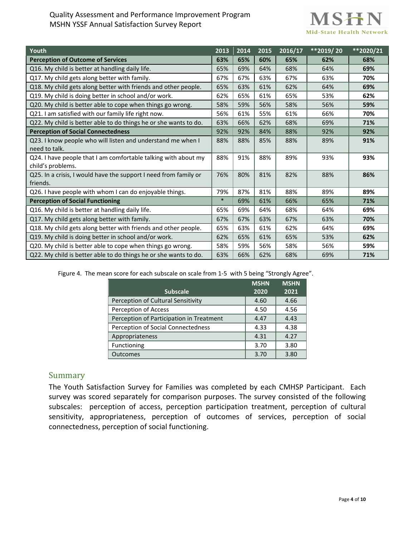#### Quality Assessment and Performance Improvement Program MSHN YSSF Annual Satisfaction Survey Report

# MSHN Mid-State Health Network

| Youth                                                            | 2013   | 2014 | 2015 | 2016/17 | **2019/20 | $*$ 2020/21 |
|------------------------------------------------------------------|--------|------|------|---------|-----------|-------------|
| <b>Perception of Outcome of Services</b>                         | 63%    | 65%  | 60%  | 65%     | 62%       | 68%         |
| Q16. My child is better at handling daily life.                  | 65%    | 69%  | 64%  | 68%     | 64%       | 69%         |
| Q17. My child gets along better with family.                     | 67%    | 67%  | 63%  | 67%     | 63%       | 70%         |
| Q18. My child gets along better with friends and other people.   | 65%    | 63%  | 61%  | 62%     | 64%       | 69%         |
| Q19. My child is doing better in school and/or work.             | 62%    | 65%  | 61%  | 65%     | 53%       | 62%         |
| Q20. My child is better able to cope when things go wrong.       | 58%    | 59%  | 56%  | 58%     | 56%       | 59%         |
| Q21. I am satisfied with our family life right now.              | 56%    | 61%  | 55%  | 61%     | 66%       | 70%         |
| Q22. My child is better able to do things he or she wants to do. | 63%    | 66%  | 62%  | 68%     | 69%       | 71%         |
| <b>Perception of Social Connectedness</b>                        | 92%    | 92%  | 84%  | 88%     | 92%       | 92%         |
| Q23. I know people who will listen and understand me when I      | 88%    | 88%  | 85%  | 88%     | 89%       | 91%         |
| need to talk.                                                    |        |      |      |         |           |             |
| Q24. I have people that I am comfortable talking with about my   | 88%    | 91%  | 88%  | 89%     | 93%       | 93%         |
| child's problems.                                                |        |      |      |         |           |             |
| Q25. In a crisis, I would have the support I need from family or | 76%    | 80%  | 81%  | 82%     | 88%       | 86%         |
| friends.                                                         |        |      |      |         |           |             |
| Q26. I have people with whom I can do enjoyable things.          | 79%    | 87%  | 81%  | 88%     | 89%       | 89%         |
| <b>Perception of Social Functioning</b>                          | $\ast$ | 69%  | 61%  | 66%     | 65%       | 71%         |
| Q16. My child is better at handling daily life.                  | 65%    | 69%  | 64%  | 68%     | 64%       | 69%         |
| Q17. My child gets along better with family.                     | 67%    | 67%  | 63%  | 67%     | 63%       | 70%         |
| Q18. My child gets along better with friends and other people.   | 65%    | 63%  | 61%  | 62%     | 64%       | 69%         |
| Q19. My child is doing better in school and/or work.             | 62%    | 65%  | 61%  | 65%     | 53%       | 62%         |
| Q20. My child is better able to cope when things go wrong.       | 58%    | 59%  | 56%  | 58%     | 56%       | 59%         |
| Q22. My child is better able to do things he or she wants to do. | 63%    | 66%  | 62%  | 68%     | 69%       | 71%         |

Figure 4. The mean score for each subscale on scale from 1-5 with 5 being "Strongly Agree".

|                                          | <b>MSHN</b> | <b>MSHN</b> |
|------------------------------------------|-------------|-------------|
| <b>Subscale</b>                          | 2020        | 2021        |
| Perception of Cultural Sensitivity       | 4.60        | 4.66        |
| Perception of Access                     | 4.50        | 4.56        |
| Perception of Participation in Treatment | 4.47        | 4.43        |
| Perception of Social Connectedness       | 4.33        | 4.38        |
| Appropriateness                          | 4.31        | 4.27        |
| Functioning                              | 3.70        | 3.80        |
| <b>Outcomes</b>                          | 3.70        | 3.80        |

### Summary

The Youth Satisfaction Survey for Families was completed by each CMHSP Participant. Each survey was scored separately for comparison purposes. The survey consisted of the following subscales: perception of access, perception participation treatment, perception of cultural sensitivity, appropriateness, perception of outcomes of services, perception of social connectedness, perception of social functioning.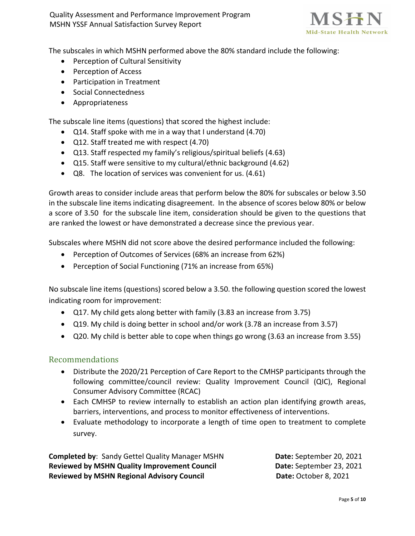Quality Assessment and Performance Improvement Program MSHN YSSF Annual Satisfaction Survey Report



The subscales in which MSHN performed above the 80% standard include the following:

- Perception of Cultural Sensitivity
- Perception of Access
- Participation in Treatment
- Social Connectedness
- Appropriateness

The subscale line items (questions) that scored the highest include:

- Q14. Staff spoke with me in a way that I understand (4.70)
- Q12. Staff treated me with respect (4.70)
- Q13. Staff respected my family's religious/spiritual beliefs (4.63)
- Q15. Staff were sensitive to my cultural/ethnic background (4.62)
- Q8. The location of services was convenient for us. (4.61)

Growth areas to consider include areas that perform below the 80% for subscales or below 3.50 in the subscale line items indicating disagreement. In the absence of scores below 80% or below a score of 3.50 for the subscale line item, consideration should be given to the questions that are ranked the lowest or have demonstrated a decrease since the previous year.

Subscales where MSHN did not score above the desired performance included the following:

- Perception of Outcomes of Services (68% an increase from 62%)
- Perception of Social Functioning (71% an increase from 65%)

No subscale line items (questions) scored below a 3.50. the following question scored the lowest indicating room for improvement:

- Q17. My child gets along better with family (3.83 an increase from 3.75)
- Q19. My child is doing better in school and/or work (3.78 an increase from 3.57)
- Q20. My child is better able to cope when things go wrong (3.63 an increase from 3.55)

#### Recommendations

- Distribute the 2020/21 Perception of Care Report to the CMHSP participants through the following committee/council review: Quality Improvement Council (QIC), Regional Consumer Advisory Committee (RCAC)
- Each CMHSP to review internally to establish an action plan identifying growth areas, barriers, interventions, and process to monitor effectiveness of interventions.
- Evaluate methodology to incorporate a length of time open to treatment to complete survey.

**Completed by:** Sandy Gettel Quality Manager MSHN **Date:** September 20, 2021 **Reviewed by MSHN Quality Improvement Council Date:** September 23, 2021 Reviewed by MSHN Regional Advisory Council **Date:** October 8, 2021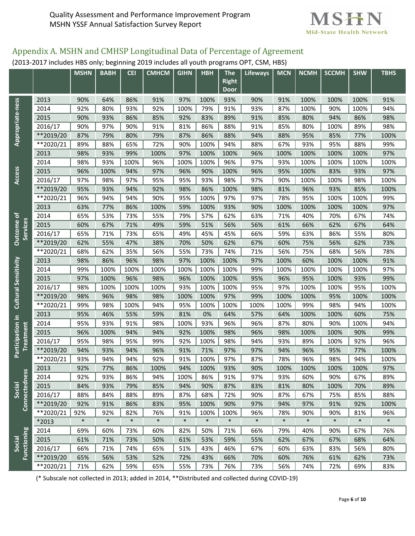

# Appendix A. MSHN and CMHSP Longitudinal Data of Percentage of Agreement

(2013-2017 includes HBS only; beginning 2019 includes all youth programs OPT, CSM, HBS)

|                              |             | <b>MSHN</b> | <b>BABH</b> | <b>CEI</b> | <b>CMHCM</b> | <b>GIHN</b> | <b>HBH</b> | <b>The</b><br>Right | <b>Lifeways</b> | <b>MCN</b> | <b>NCMH</b> | <b>SCCMH</b> | <b>SHW</b> | <b>TBHS</b> |  |
|------------------------------|-------------|-------------|-------------|------------|--------------|-------------|------------|---------------------|-----------------|------------|-------------|--------------|------------|-------------|--|
|                              |             |             |             |            |              |             |            | Door                |                 |            |             |              |            |             |  |
|                              | 2013        | 90%         | 64%         | 86%        | 91%          | 97%         | 100%       | 93%                 | 90%             | 91%        | 100%        | 100%         | 100%       | 91%         |  |
| Appropriate-ness             | 2014        | 92%         | 80%         | 93%        | 92%          | 100%        | 79%        | 91%                 | 93%             | 87%        | 100%        | 90%          | 100%       | 94%         |  |
|                              | 2015        | 90%         | 93%         | 86%        | 85%          | 92%         | 83%        | 89%                 | 91%             | 85%        | 80%         | 94%          | 86%        | 98%         |  |
|                              | 2016/17     | 90%         | 97%         | 90%        | 91%          | 81%         | 86%        | 88%                 | 91%             | 85%        | 80%         | 100%         | 89%        | 98%         |  |
|                              | **2019/20   | 87%         | 79%         | 80%        | 79%          | 87%         | 86%        | 88%                 | 94%             | 88%        | 95%         | 85%          | 77%        | 100%        |  |
|                              | $**2020/21$ | 89%         | 88%         | 65%        | 72%          | 90%         | 100%       | 94%                 | 88%             | 67%        | 93%         | 95%          | 88%        | 99%         |  |
|                              | 2013        | 98%         | 93%         | 99%        | 100%         | 97%         | 100%       | 100%                | 96%             | 100%       | 100%        | 100%         | 100%       | 97%         |  |
|                              | 2014        | 98%         | 93%         | 100%       | 96%          | 100%        | 100%       | 96%                 | 97%             | 93%        | 100%        | 100%         | 100%       | 100%        |  |
|                              | 2015        | 96%         | 100%        | 94%        | 97%          | 96%         | 90%        | 100%                | 96%             | 95%        | 100%        | 83%          | 93%        | 97%         |  |
| Access                       | 2016/17     | 97%         | 98%         | 97%        | 95%          | 95%         | 93%        | 98%                 | 97%             | 90%        | 100%        | 100%         | 98%        | 100%        |  |
|                              | **2019/20   | 95%         | 93%         | 94%        | 92%          | 98%         | 86%        | 100%                | 98%             | 81%        | 96%         | 93%          | 85%        | 100%        |  |
|                              | **2020/21   | 96%         | 94%         | 94%        | 90%          | 95%         | 100%       | 97%                 | 97%             | 78%        | 95%         | 100%         | 100%       | 99%         |  |
|                              | 2013        | 63%         | 77%         | 86%        | 100%         | 59%         | 100%       | 93%                 | 90%             | 100%       | 100%        | 100%         | 100%       | 97%         |  |
|                              | 2014        | 65%         | 53%         | 73%        | 55%          | 79%         | 57%        | 62%                 | 63%             | 71%        | 40%         | 70%          | 67%        | 74%         |  |
| Outcome of<br>Services       | 2015        | 60%         | 67%         | 71%        | 49%          | 59%         | 51%        | 56%                 | 56%             | 61%        | 66%         | 62%          | 67%        | 64%         |  |
|                              | 2016/17     | 65%         | 71%         | 73%        | 65%          | 49%         | 45%        | 45%                 | 66%             | 59%        | 63%         | 86%          | 55%        | 80%         |  |
|                              | **2019/20   | 62%         | 55%         | 47%        | 38%          | 70%         | 50%        | 62%                 | 67%             | 60%        | 75%         | 56%          | 62%        | 73%         |  |
|                              | $*2020/21$  | 68%         | 62%         | 35%        | 56%          | 55%         | 73%        | 74%                 | 71%             | 56%        | 75%         | 68%          | 56%        | 78%         |  |
|                              | 2013        | 98%         | 86%         | 96%        | 98%          | 97%         | 100%       | 100%                | 97%             | 100%       | 60%         | 100%         | 100%       | 91%         |  |
|                              | 2014        | 99%         | 100%        | 100%       | 100%         | 100%        | 100%       | 100%                | 99%             | 100%       | 100%        | 100%         | 100%       | 97%         |  |
|                              | 2015        | 97%         | 100%        | 96%        | 98%          | 96%         | 100%       | 100%                | 95%             | 96%        | 95%         | 100%         | 93%        | 99%         |  |
|                              | 2016/17     | 98%         | 100%        | 100%       | 100%         | 93%         | 100%       | 100%                | 95%             | 97%        | 100%        | 100%         | 95%        | 100%        |  |
| <b>Cultural Sensitivity</b>  | **2019/20   | 98%         | 96%         | 98%        | 98%          | 100%        | 100%       | 97%                 | 99%             | 100%       | 100%        | 95%          | 100%       | 100%        |  |
|                              | $*2020/21$  | 99%         | 98%         | 100%       | 94%          | 95%         | 100%       | 100%                | 100%            | 100%       | 99%         | 98%          | 94%        | 100%        |  |
|                              | 2013        | 95%         | 46%         | 55%        | 59%          | 81%         | 0%         | 64%                 | 57%             | 64%        | 100%        | 100%         | 60%        | 75%         |  |
| Participation in             | 2014        | 95%         | 93%         | 91%        | 98%          | 100%        | 93%        | 96%                 | 96%             | 87%        | 80%         | 90%          | 100%       | 94%         |  |
| Treatment                    | 2015        | 96%         | 100%        | 94%        | 94%          | 92%         | 100%       | 98%                 | 96%             | 98%        | 100%        | 100%         | 90%        | 99%         |  |
|                              | 2016/17     | 95%         | 98%         | 95%        | 99%          | 92%         | 100%       | 98%                 | 94%             | 93%        | 89%         | 100%         | 92%        | 96%         |  |
|                              | **2019/20   | 94%         | 93%         | 94%        | 96%          | 91%         | 71%        | 97%                 | 97%             | 94%        | 96%         | 95%          | 77%        | 100%        |  |
|                              | **2020/21   | 93%         | 94%         | 94%        | 92%          | 91%         | 100%       | 97%                 | 87%             | 78%        | 96%         | 98%          | 94%        | 100%        |  |
|                              | 2013        | 92%         | 77%         | 86%        | 100%         | 94%         | 100%       | 93%                 | 90%             | 100%       | 100%        | 100%         | 100%       | 97%         |  |
| Connectednes                 | 2014        | 92%         | 93%         | 86%        | 94%          | 100%        | 86%        | 91%                 | 97%             | 93%        | 60%         | 90%          | 67%        | 89%         |  |
| Social                       | 2015        | 84%         | 93%         | 79%        | 85%          | 94%         | 90%        | 87%                 | 83%             | 81%        | 80%         | 100%         | 70%        | 89%         |  |
|                              | 2016/17     | 88%         | 84%         | 88%        | 89%          | 87%         | 68%        | 72%                 | 90%             | 87%        | 67%         | 75%          | 85%        | 88%         |  |
|                              | **2019/20   | 92%         | 91%         | 86%        | 83%          | 95%         | 100%       | 90%                 | 97%             | 94%        | 97%         | 91%          | 92%        | 100%        |  |
|                              | **2020/21   | 92%         | 92%         | 82%        | 76%          | 91%         | 100%       | 100%                | 96%             | 78%        | 90%         | 90%          | 81%        | 96%         |  |
|                              | *2013       | $\ast$      | $\ast$      | $\ast$     | $\ast$       | $\ast$      | $\ast$     | $\ast$              | $\ast$          | $\ast$     | $\ast$      | $\ast$       | $\ast$     | $\ast$      |  |
|                              | 2014        | 69%         | 60%         | 73%        | 60%          | 82%         | 50%        | 71%                 | 66%             | 79%        | 40%         | 90%          | 67%        | 76%         |  |
| <b>Functioning</b><br>Social | 2015        | 61%         | 71%         | 73%        | 50%          | 61%         | 53%        | 59%                 | 55%             | 62%        | 67%         | 67%          | 68%        | 64%         |  |
|                              | 2016/17     | 66%         | 71%         | 74%        | 65%          | 51%         | 43%        | 46%                 | 67%             | 60%        | 63%         | 83%          | 56%        | 80%         |  |
|                              | **2019/20   | 65%         | 56%         | 53%        | 52%          | 72%         | 43%        | 66%                 | 70%             | 60%        | 76%         | 61%          | 62%        | 73%         |  |
|                              | **2020/21   | 71%         | 62%         | 59%        | 65%          | 55%         | 73%        | 76%                 | 73%             | 56%        | 74%         | 72%          | 69%        | 83%         |  |

(\* Subscale not collected in 2013; added in 2014, \*\*Distributed and collected during COVID-19)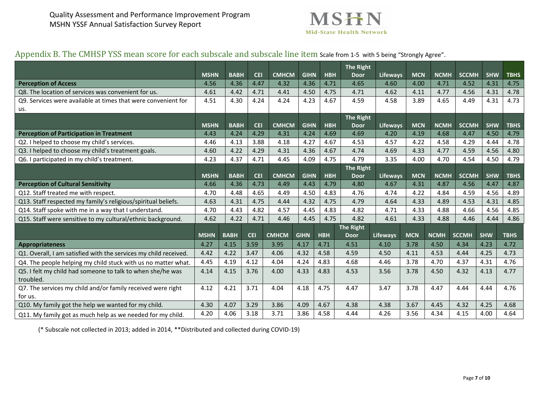

# Appendix B. The CMHSP YSS mean score for each subscale and subscale line item Scale from 1-5 with 5 being "Strongly Agree".

|                                                                  | <b>MSHN</b> | <b>BABH</b> | <b>CEI</b> | <b>CMHCM</b> | <b>GIHN</b> | <b>HBH</b> | The Right<br><b>Door</b> | Lifeways        | <b>MCN</b> | <b>NCMH</b> | <b>SCCMH</b> | <b>SHW</b> | <b>TBHS</b> |
|------------------------------------------------------------------|-------------|-------------|------------|--------------|-------------|------------|--------------------------|-----------------|------------|-------------|--------------|------------|-------------|
| <b>Perception of Access</b>                                      | 4.56        | 4.36        | 4.47       | 4.32         | 4.36        | 4.71       | 4.65                     | 4.60            | 4.00       | 4.71        | 4.52         | 4.31       | 4.75        |
| Q8. The location of services was convenient for us.              | 4.61        | 4.42        | 4.71       | 4.41         | 4.50        | 4.75       | 4.71                     | 4.62            | 4.11       | 4.77        | 4.56         | 4.31       | 4.78        |
| Q9. Services were available at times that were convenient for    | 4.51        | 4.30        | 4.24       | 4.24         | 4.23        | 4.67       | 4.59                     | 4.58            | 3.89       | 4.65        | 4.49         | 4.31       | 4.73        |
| us.                                                              |             |             |            |              |             |            |                          |                 |            |             |              |            |             |
|                                                                  |             |             |            |              |             |            | The Right                |                 |            |             |              |            |             |
|                                                                  | <b>MSHN</b> | <b>BABH</b> | <b>CEI</b> | <b>CMHCM</b> | <b>GIHN</b> | <b>HBH</b> | <b>Door</b>              | <b>Lifeways</b> | <b>MCN</b> | <b>NCMH</b> | <b>SCCMH</b> | <b>SHW</b> | <b>TBHS</b> |
| <b>Perception of Participation in Treatment</b>                  | 4.43        | 4.24        | 4.29       | 4.31         | 4.24        | 4.69       | 4.69                     | 4.20            | 4.19       | 4.68        | 4.47         | 4.50       | 4.79        |
| Q2. I helped to choose my child's services.                      | 4.46        | 4.13        | 3.88       | 4.18         | 4.27        | 4.67       | 4.53                     | 4.57            | 4.22       | 4.58        | 4.29         | 4.44       | 4.78        |
| Q3. I helped to choose my child's treatment goals.               | 4.60        | 4.22        | 4.29       | 4.31         | 4.36        | 4.67       | 4.74                     | 4.69            | 4.33       | 4.77        | 4.59         | 4.56       | 4.80        |
| Q6. I participated in my child's treatment.                      | 4.23        | 4.37        | 4.71       | 4.45         | 4.09        | 4.75       | 4.79                     | 3.35            | 4.00       | 4.70        | 4.54         | 4.50       | 4.79        |
|                                                                  |             |             |            |              |             |            | The Right                |                 |            |             |              |            |             |
|                                                                  | <b>MSHN</b> | <b>BABH</b> | <b>CEI</b> | <b>CMHCM</b> | <b>GIHN</b> | <b>HBH</b> | <b>Door</b>              | <b>Lifeways</b> | <b>MCN</b> | <b>NCMH</b> | <b>SCCMH</b> | <b>SHW</b> | <b>TBHS</b> |
| <b>Perception of Cultural Sensitivity</b>                        | 4.66        | 4.36        |            | 4.73<br>4.49 | 4.43        | 4.79       | 4.80                     | 4.67            | 4.31       | 4.87        | 4.56         | 4.47       | 4.87        |
| Q12. Staff treated me with respect.                              | 4.70        | 4.48        | 4.65       | 4.49         | 4.50        | 4.83       | 4.76                     | 4.74            | 4.22       | 4.84        | 4.59         | 4.56       | 4.89        |
| Q13. Staff respected my family's religious/spiritual beliefs.    | 4.63        | 4.31        | 4.75       | 4.44         | 4.32        | 4.75       | 4.79                     | 4.64            | 4.33       | 4.89        | 4.53         | 4.31       | 4.85        |
| Q14. Staff spoke with me in a way that I understand.             | 4.70        | 4.43        | 4.82       | 4.57         | 4.45        | 4.83       | 4.82                     | 4.71            | 4.33       | 4.88        | 4.66         | 4.56       | 4.85        |
| Q15. Staff were sensitive to my cultural/ethnic background.      | 4.62        | 4.22        | 4.71       | 4.46         | 4.45        | 4.75       | 4.82                     | 4.61            | 4.33       | 4.88        | 4.46         | 4.44       | 4.86        |
|                                                                  |             |             |            |              |             |            | <b>The Right</b>         |                 |            |             |              |            |             |
|                                                                  | <b>MSHN</b> | <b>BABH</b> | <b>CEI</b> | <b>CMHCM</b> | <b>GIHN</b> | <b>HBH</b> | <b>Door</b>              | <b>Lifeways</b> | <b>MCN</b> | <b>NCMH</b> | <b>SCCMH</b> | <b>SHW</b> | <b>TBHS</b> |
| <b>Appropriateness</b>                                           | 4.27        | 4.15        | 3.59       | 3.95         | 4.17        | 4.71       | 4.51                     | 4.10            | 3.78       | 4.50        | 4.34         | 4.23       | 4.72        |
| Q1. Overall, I am satisfied with the services my child received. | 4.42        | 4.22        | 3.47       | 4.06         | 4.32        | 4.58       | 4.59                     | 4.50            | 4.11       | 4.53        | 4.44         | 4.25       | 4.73        |
| Q4. The people helping my child stuck with us no matter what.    | 4.45        | 4.19        | 4.12       | 4.04         | 4.24        | 4.83       | 4.68                     | 4.46            | 3.78       | 4.70        | 4.37         | 4.31       | 4.76        |
| Q5. I felt my child had someone to talk to when she/he was       | 4.14        | 4.15        | 3.76       | 4.00         | 4.33        | 4.83       | 4.53                     | 3.56            | 3.78       | 4.50        | 4.32         | 4.13       | 4.77        |
| troubled.                                                        |             |             |            |              |             |            |                          |                 |            |             |              |            |             |
| Q7. The services my child and/or family received were right      | 4.12        | 4.21        | 3.71       | 4.04         | 4.18        | 4.75       | 4.47                     | 3.47            | 3.78       | 4.47        | 4.44         | 4.44       | 4.76        |
| for us.                                                          |             |             |            |              |             |            |                          |                 |            |             |              |            |             |
| Q10. My family got the help we wanted for my child.              | 4.30        | 4.07        | 3.29       | 3.86         | 4.09        | 4.67       | 4.38                     | 4.38            | 3.67       | 4.45        | 4.32         | 4.25       | 4.68        |
| Q11. My family got as much help as we needed for my child.       | 4.20        | 4.06        | 3.18       | 3.71         | 3.86        | 4.58       | 4.44                     | 4.26            | 3.56       | 4.34        | 4.15         | 4.00       | 4.64        |

(\* Subscale not collected in 2013; added in 2014, \*\*Distributed and collected during COVID-19)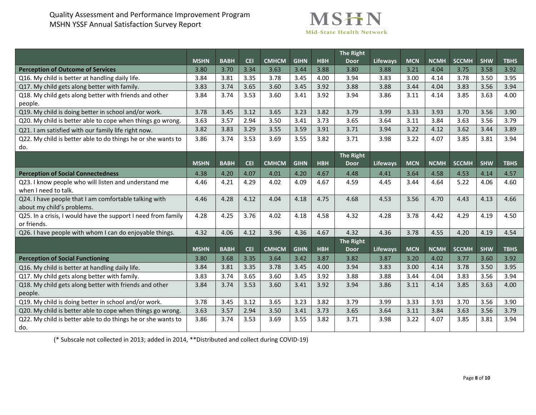## Quality Assessment and Performance Improvement Program MSHN YSSF Annual Satisfaction Survey Report



|                                                                                     |             |             |            |              |             |            | <b>The Right</b> |                 |            |             |              |            |             |
|-------------------------------------------------------------------------------------|-------------|-------------|------------|--------------|-------------|------------|------------------|-----------------|------------|-------------|--------------|------------|-------------|
|                                                                                     | <b>MSHN</b> | <b>BABH</b> | <b>CEI</b> | <b>CMHCM</b> | <b>GIHN</b> | <b>HBH</b> | <b>Door</b>      | <b>Lifeways</b> | <b>MCN</b> | <b>NCMH</b> | <b>SCCMH</b> | <b>SHW</b> | <b>TBHS</b> |
| <b>Perception of Outcome of Services</b>                                            | 3.80        | 3.70        | 3.34       | 3.63         | 3.44        | 3.88       | 3.80             | 3.88            | 3.21       | 4.04        | 3.75         | 3.58       | 3.92        |
| Q16. My child is better at handling daily life.                                     | 3.84        | 3.81        | 3.35       | 3.78         | 3.45        | 4.00       | 3.94             | 3.83            | 3.00       | 4.14        | 3.78         | 3.50       | 3.95        |
| Q17. My child gets along better with family.                                        | 3.83        | 3.74        | 3.65       | 3.60         | 3.45        | 3.92       | 3.88             | 3.88            | 3.44       | 4.04        | 3.83         | 3.56       | 3.94        |
| Q18. My child gets along better with friends and other<br>people.                   | 3.84        | 3.74        | 3.53       | 3.60         | 3.41        | 3.92       | 3.94             | 3.86            | 3.11       | 4.14        | 3.85         | 3.63       | 4.00        |
| Q19. My child is doing better in school and/or work.                                | 3.78        | 3.45        | 3.12       | 3.65         | 3.23        | 3.82       | 3.79             | 3.99            | 3.33       | 3.93        | 3.70         | 3.56       | 3.90        |
| Q20. My child is better able to cope when things go wrong.                          | 3.63        | 3.57        | 2.94       | 3.50         | 3.41        | 3.73       | 3.65             | 3.64            | 3.11       | 3.84        | 3.63         | 3.56       | 3.79        |
| Q21. I am satisfied with our family life right now.                                 | 3.82        | 3.83        | 3.29       | 3.55         | 3.59        | 3.91       | 3.71             | 3.94            | 3.22       | 4.12        | 3.62         | 3.44       | 3.89        |
| Q22. My child is better able to do things he or she wants to                        | 3.86        | 3.74        | 3.53       | 3.69         | 3.55        | 3.82       | 3.71             | 3.98            | 3.22       | 4.07        | 3.85         | 3.81       | 3.94        |
| do.                                                                                 |             |             |            |              |             |            |                  |                 |            |             |              |            |             |
|                                                                                     |             |             |            |              |             |            | <b>The Right</b> |                 |            |             |              |            |             |
|                                                                                     | <b>MSHN</b> | <b>BABH</b> | <b>CEI</b> | <b>CMHCM</b> | <b>GIHN</b> | <b>HBH</b> | <b>Door</b>      | <b>Lifeways</b> | <b>MCN</b> | <b>NCMH</b> | <b>SCCMH</b> | <b>SHW</b> | <b>TBHS</b> |
| <b>Perception of Social Connectedness</b>                                           | 4.38        | 4.20        | 4.07       | 4.01         | 4.20        | 4.67       | 4.48             | 4.41            | 3.64       | 4.58        | 4.53         | 4.14       | 4.57        |
| Q23. I know people who will listen and understand me<br>when I need to talk.        | 4.46        | 4.21        | 4.29       | 4.02         | 4.09        | 4.67       | 4.59             | 4.45            | 3.44       | 4.64        | 5.22         | 4.06       | 4.60        |
| Q24. I have people that I am comfortable talking with<br>about my child's problems. | 4.46        | 4.28        | 4.12       | 4.04         | 4.18        | 4.75       | 4.68             | 4.53            | 3.56       | 4.70        | 4.43         | 4.13       | 4.66        |
| Q25. In a crisis, I would have the support I need from family<br>or friends.        | 4.28        | 4.25        | 3.76       | 4.02         | 4.18        | 4.58       | 4.32             | 4.28            | 3.78       | 4.42        | 4.29         | 4.19       | 4.50        |
| Q26. I have people with whom I can do enjoyable things.                             | 4.32        | 4.06        | 4.12       | 3.96         | 4.36        | 4.67       | 4.32             | 4.36            | 3.78       | 4.55        | 4.20         | 4.19       | 4.54        |
|                                                                                     |             |             |            |              |             |            | <b>The Right</b> |                 |            |             |              |            |             |
|                                                                                     | <b>MSHN</b> | <b>BABH</b> | <b>CEI</b> | <b>CMHCM</b> | <b>GIHN</b> | <b>HBH</b> | <b>Door</b>      | <b>Lifeways</b> | <b>MCN</b> | <b>NCMH</b> | <b>SCCMH</b> | <b>SHW</b> | <b>TBHS</b> |
| <b>Perception of Social Functioning</b>                                             | 3.80        | 3.68        | 3.35       | 3.64         | 3.42        | 3.87       | 3.82             | 3.87            | 3.20       | 4.02        | 3.77         | 3.60       | 3.92        |
| Q16. My child is better at handling daily life.                                     | 3.84        | 3.81        | 3.35       | 3.78         | 3.45        | 4.00       | 3.94             | 3.83            | 3.00       | 4.14        | 3.78         | 3.50       | 3.95        |
| Q17. My child gets along better with family.                                        | 3.83        | 3.74        | 3.65       | 3.60         | 3.45        | 3.92       | 3.88             | 3.88            | 3.44       | 4.04        | 3.83         | 3.56       | 3.94        |
| Q18. My child gets along better with friends and other                              | 3.84        | 3.74        | 3.53       | 3.60         | 3.41        | 3.92       | 3.94             | 3.86            | 3.11       | 4.14        | 3.85         | 3.63       | 4.00        |
| people.                                                                             |             |             |            |              |             |            |                  |                 |            |             |              |            |             |
| Q19. My child is doing better in school and/or work.                                | 3.78        | 3.45        | 3.12       | 3.65         | 3.23        | 3.82       | 3.79             | 3.99            | 3.33       | 3.93        | 3.70         | 3.56       | 3.90        |
| Q20. My child is better able to cope when things go wrong.                          | 3.63        | 3.57        | 2.94       | 3.50         | 3.41        | 3.73       | 3.65             | 3.64            | 3.11       | 3.84        | 3.63         | 3.56       | 3.79        |
| Q22. My child is better able to do things he or she wants to<br>do.                 | 3.86        | 3.74        | 3.53       | 3.69         | 3.55        | 3.82       | 3.71             | 3.98            | 3.22       | 4.07        | 3.85         | 3.81       | 3.94        |

(\* Subscale not collected in 2013; added in 2014, \*\*Distributed and collect during COVID-19)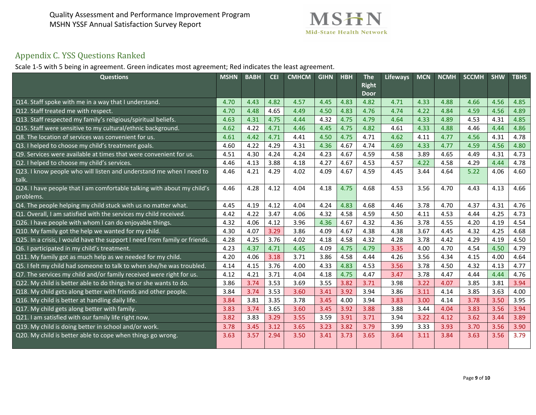

# Appendix C. YSS Questions Ranked

Scale 1-5 with 5 being in agreement. Green indicates most agreement; Red indicates the least agreement.

| <b>Questions</b>                                                                    | <b>MSHN</b> | <b>BABH</b> | <b>CEI</b> | <b>CMHCM</b> | <b>GIHN</b> | <b>HBH</b> | <b>The</b><br><b>Right</b><br><b>Door</b> | <b>Lifeways</b> | <b>MCN</b> | <b>NCMH</b> | <b>SCCMH</b> | <b>SHW</b> | <b>TBHS</b> |
|-------------------------------------------------------------------------------------|-------------|-------------|------------|--------------|-------------|------------|-------------------------------------------|-----------------|------------|-------------|--------------|------------|-------------|
| Q14. Staff spoke with me in a way that I understand.                                | 4.70        | 4.43        | 4.82       | 4.57         | 4.45        | 4.83       | 4.82                                      | 4.71            | 4.33       | 4.88        | 4.66         | 4.56       | 4.85        |
| Q12. Staff treated me with respect.                                                 | 4.70        | 4.48        | 4.65       | 4.49         | 4.50        | 4.83       | 4.76                                      | 4.74            | 4.22       | 4.84        | 4.59         | 4.56       | 4.89        |
| Q13. Staff respected my family's religious/spiritual beliefs.                       | 4.63        | 4.31        | 4.75       | 4.44         | 4.32        | 4.75       | 4.79                                      | 4.64            | 4.33       | 4.89        | 4.53         | 4.31       | 4.85        |
| Q15. Staff were sensitive to my cultural/ethnic background.                         | 4.62        | 4.22        | 4.71       | 4.46         | 4.45        | 4.75       | 4.82                                      | 4.61            | 4.33       | 4.88        | 4.46         | 4.44       | 4.86        |
| Q8. The location of services was convenient for us.                                 | 4.61        | 4.42        | 4.71       | 4.41         | 4.50        | 4.75       | 4.71                                      | 4.62            | 4.11       | 4.77        | 4.56         | 4.31       | 4.78        |
| Q3. I helped to choose my child's treatment goals.                                  | 4.60        | 4.22        | 4.29       | 4.31         | 4.36        | 4.67       | 4.74                                      | 4.69            | 4.33       | 4.77        | 4.59         | 4.56       | 4.80        |
| Q9. Services were available at times that were convenient for us.                   | 4.51        | 4.30        | 4.24       | 4.24         | 4.23        | 4.67       | 4.59                                      | 4.58            | 3.89       | 4.65        | 4.49         | 4.31       | 4.73        |
| Q2. I helped to choose my child's services.                                         | 4.46        | 4.13        | 3.88       | 4.18         | 4.27        | 4.67       | 4.53                                      | 4.57            | 4.22       | 4.58        | 4.29         | 4.44       | 4.78        |
| Q23. I know people who will listen and understand me when I need to<br>talk.        | 4.46        | 4.21        | 4.29       | 4.02         | 4.09        | 4.67       | 4.59                                      | 4.45            | 3.44       | 4.64        | 5.22         | 4.06       | 4.60        |
| Q24. I have people that I am comfortable talking with about my child's<br>problems. | 4.46        | 4.28        | 4.12       | 4.04         | 4.18        | 4.75       | 4.68                                      | 4.53            | 3.56       | 4.70        | 4.43         | 4.13       | 4.66        |
| Q4. The people helping my child stuck with us no matter what.                       | 4.45        | 4.19        | 4.12       | 4.04         | 4.24        | 4.83       | 4.68                                      | 4.46            | 3.78       | 4.70        | 4.37         | 4.31       | 4.76        |
| Q1. Overall, I am satisfied with the services my child received.                    | 4.42        | 4.22        | 3.47       | 4.06         | 4.32        | 4.58       | 4.59                                      | 4.50            | 4.11       | 4.53        | 4.44         | 4.25       | 4.73        |
| Q26. I have people with whom I can do enjoyable things.                             | 4.32        | 4.06        | 4.12       | 3.96         | 4.36        | 4.67       | 4.32                                      | 4.36            | 3.78       | 4.55        | 4.20         | 4.19       | 4.54        |
| Q10. My family got the help we wanted for my child.                                 | 4.30        | 4.07        | 3.29       | 3.86         | 4.09        | 4.67       | 4.38                                      | 4.38            | 3.67       | 4.45        | 4.32         | 4.25       | 4.68        |
| Q25. In a crisis, I would have the support I need from family or friends.           | 4.28        | 4.25        | 3.76       | 4.02         | 4.18        | 4.58       | 4.32                                      | 4.28            | 3.78       | 4.42        | 4.29         | 4.19       | 4.50        |
| Q6. I participated in my child's treatment.                                         | 4.23        | 4.37        | 4.71       | 4.45         | 4.09        | 4.75       | 4.79                                      | 3.35            | 4.00       | 4.70        | 4.54         | 4.50       | 4.79        |
| Q11. My family got as much help as we needed for my child.                          | 4.20        | 4.06        | 3.18       | 3.71         | 3.86        | 4.58       | 4.44                                      | 4.26            | 3.56       | 4.34        | 4.15         | 4.00       | 4.64        |
| Q5. I felt my child had someone to talk to when she/he was troubled.                | 4.14        | 4.15        | 3.76       | 4.00         | 4.33        | 4.83       | 4.53                                      | 3.56            | 3.78       | 4.50        | 4.32         | 4.13       | 4.77        |
| Q7. The services my child and/or family received were right for us.                 | 4.12        | 4.21        | 3.71       | 4.04         | 4.18        | 4.75       | 4.47                                      | 3.47            | 3.78       | 4.47        | 4.44         | 4.44       | 4.76        |
| Q22. My child is better able to do things he or she wants to do.                    | 3.86        | 3.74        | 3.53       | 3.69         | 3.55        | 3.82       | 3.71                                      | 3.98            | 3.22       | 4.07        | 3.85         | 3.81       | 3.94        |
| Q18. My child gets along better with friends and other people.                      | 3.84        | 3.74        | 3.53       | 3.60         | 3.41        | 3.92       | 3.94                                      | 3.86            | 3.11       | 4.14        | 3.85         | 3.63       | 4.00        |
| Q16. My child is better at handling daily life.                                     | 3.84        | 3.81        | 3.35       | 3.78         | 3.45        | 4.00       | 3.94                                      | 3.83            | 3.00       | 4.14        | 3.78         | 3.50       | 3.95        |
| Q17. My child gets along better with family.                                        | 3.83        | 3.74        | 3.65       | 3.60         | 3.45        | 3.92       | 3.88                                      | 3.88            | 3.44       | 4.04        | 3.83         | 3.56       | 3.94        |
| Q21. I am satisfied with our family life right now.                                 | 3.82        | 3.83        | 3.29       | 3.55         | 3.59        | 3.91       | 3.71                                      | 3.94            | 3.22       | 4.12        | 3.62         | 3.44       | 3.89        |
| Q19. My child is doing better in school and/or work.                                | 3.78        | 3.45        | 3.12       | 3.65         | 3.23        | 3.82       | 3.79                                      | 3.99            | 3.33       | 3.93        | 3.70         | 3.56       | 3.90        |
| Q20. My child is better able to cope when things go wrong.                          | 3.63        | 3.57        | 2.94       | 3.50         | 3.41        | 3.73       | 3.65                                      | 3.64            | 3.11       | 3.84        | 3.63         | 3.56       | 3.79        |